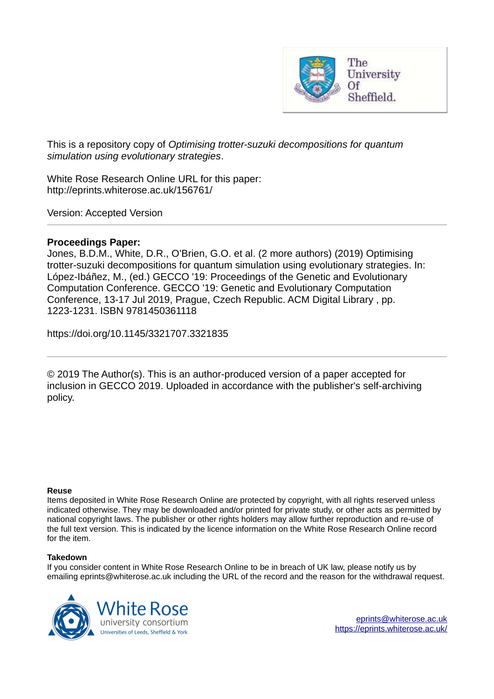

This is a repository copy of *Optimising trotter-suzuki decompositions for quantum simulation using evolutionary strategies*.

White Rose Research Online URL for this paper: http://eprints.whiterose.ac.uk/156761/

Version: Accepted Version

# **Proceedings Paper:**

Jones, B.D.M., White, D.R., O'Brien, G.O. et al. (2 more authors) (2019) Optimising trotter-suzuki decompositions for quantum simulation using evolutionary strategies. In: López-Ibáñez, M., (ed.) GECCO '19: Proceedings of the Genetic and Evolutionary Computation Conference. GECCO '19: Genetic and Evolutionary Computation Conference, 13-17 Jul 2019, Prague, Czech Republic. ACM Digital Library , pp. 1223-1231. ISBN 9781450361118

https://doi.org/10.1145/3321707.3321835

© 2019 The Author(s). This is an author-produced version of a paper accepted for inclusion in GECCO 2019. Uploaded in accordance with the publisher's self-archiving policy.

### **Reuse**

Items deposited in White Rose Research Online are protected by copyright, with all rights reserved unless indicated otherwise. They may be downloaded and/or printed for private study, or other acts as permitted by national copyright laws. The publisher or other rights holders may allow further reproduction and re-use of the full text version. This is indicated by the licence information on the White Rose Research Online record for the item.

### **Takedown**

If you consider content in White Rose Research Online to be in breach of UK law, please notify us by emailing eprints@whiterose.ac.uk including the URL of the record and the reason for the withdrawal request.

<span id="page-0-0"></span>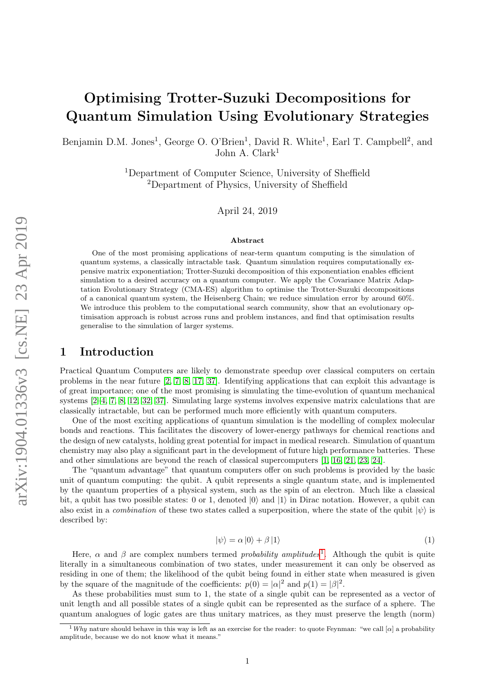# Optimising Trotter-Suzuki Decompositions for Quantum Simulation Using Evolutionary Strategies

Benjamin D.M. Jones<sup>1</sup>, George O. O'Brien<sup>1</sup>, David R. White<sup>1</sup>, Earl T. Campbell<sup>2</sup>, and John A. Clark<sup>1</sup>

> <sup>1</sup>Department of Computer Science, University of Sheffield <sup>2</sup>Department of Physics, University of Sheffield

> > April 24, 2019

#### Abstract

One of the most promising applications of near-term quantum computing is the simulation of quantum systems, a classically intractable task. Quantum simulation requires computationally expensive matrix exponentiation; Trotter-Suzuki decomposition of this exponentiation enables efficient simulation to a desired accuracy on a quantum computer. We apply the Covariance Matrix Adaptation Evolutionary Strategy (CMA-ES) algorithm to optimise the Trotter-Suzuki decompositions of a canonical quantum system, the Heisenberg Chain; we reduce simulation error by around 60%. We introduce this problem to the computational search community, show that an evolutionary optimisation approach is robust across runs and problem instances, and find that optimisation results generalise to the simulation of larger systems.

## 1 Introduction

Practical Quantum Computers are likely to demonstrate speedup over classical computers on certain problems in the near future [\[2,](#page-15-0) [7,](#page-15-1) [8,](#page-15-2) [17,](#page-15-3) [37\]](#page-16-0). Identifying applications that can exploit this advantage is of great importance; one of the most promising is simulating the time-evolution of quantum mechanical systems [\[2–](#page-15-0)[4,](#page-15-4) [7,](#page-15-1) [8,](#page-15-2) [12,](#page-15-5) [32,](#page-16-1) [37\]](#page-16-0). Simulating large systems involves expensive matrix calculations that are classically intractable, but can be performed much more efficiently with quantum computers.

One of the most exciting applications of quantum simulation is the modelling of complex molecular bonds and reactions. This facilitates the discovery of lower-energy pathways for chemical reactions and the design of new catalysts, holding great potential for impact in medical research. Simulation of quantum chemistry may also play a significant part in the development of future high performance batteries. These and other simulations are beyond the reach of classical supercomputers [\[1,](#page-15-6) [16,](#page-15-7) [21,](#page-16-2) [23,](#page-16-3) [24\]](#page-16-4).

The "quantum advantage" that quantum computers offer on such problems is provided by the basic unit of quantum computing: the qubit. A qubit represents a single quantum state, and is implemented by the quantum properties of a physical system, such as the spin of an electron. Much like a classical bit, a qubit has two possible states: 0 or 1, denoted  $|0\rangle$  and  $|1\rangle$  in Dirac notation. However, a qubit can also exist in a *combination* of these two states called a superposition, where the state of the qubit  $|\psi\rangle$  is described by:

<span id="page-1-2"></span><span id="page-1-1"></span>
$$
|\psi\rangle = \alpha |0\rangle + \beta |1\rangle \tag{1}
$$

Here,  $\alpha$  and  $\beta$  are complex numbers termed *probability amplitudes*<sup>[1](#page-0-0)</sup>. Although the qubit is quite literally in a simultaneous combination of two states, under measurement it can only be observed as residing in one of them; the likelihood of the qubit being found in either state when measured is given by the square of the magnitude of the coefficients:  $p(0) = |\alpha|^2$  and  $p(1) = |\beta|^2$ .

As these probabilities must sum to 1, the state of a single qubit can be represented as a vector of unit length and all possible states of a single qubit can be represented as the surface of a sphere. The quantum analogues of logic gates are thus unitary matrices, as they must preserve the length (norm)

<span id="page-1-0"></span> $1$  Why nature should behave in this way is left as an exercise for the reader: to quote Feynman: "we call  $[\alpha]$  a probability amplitude, because we do not know what it means."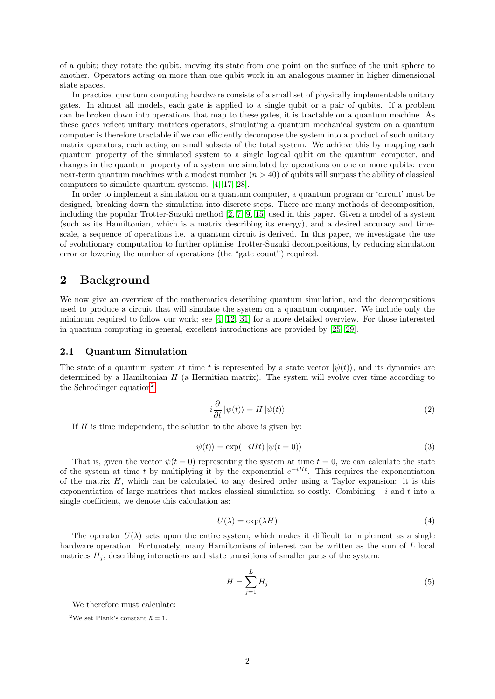of a qubit; they rotate the qubit, moving its state from one point on the surface of the unit sphere to another. Operators acting on more than one qubit work in an analogous manner in higher dimensional state spaces.

In practice, quantum computing hardware consists of a small set of physically implementable unitary gates. In almost all models, each gate is applied to a single qubit or a pair of qubits. If a problem can be broken down into operations that map to these gates, it is tractable on a quantum machine. As these gates reflect unitary matrices operators, simulating a quantum mechanical system on a quantum computer is therefore tractable if we can efficiently decompose the system into a product of such unitary matrix operators, each acting on small subsets of the total system. We achieve this by mapping each quantum property of the simulated system to a single logical qubit on the quantum computer, and changes in the quantum property of a system are simulated by operations on one or more qubits: even near-term quantum machines with a modest number  $(n > 40)$  of qubits will surpass the ability of classical computers to simulate quantum systems. [\[4,](#page-15-4) [17,](#page-15-3) [28\]](#page-16-5).

In order to implement a simulation on a quantum computer, a quantum program or 'circuit' must be designed, breaking down the simulation into discrete steps. There are many methods of decomposition, including the popular Trotter-Suzuki method [\[2,](#page-15-0) [7,](#page-15-1) [9,](#page-15-8) [15\]](#page-15-9) used in this paper. Given a model of a system (such as its Hamiltonian, which is a matrix describing its energy), and a desired accuracy and timescale, a sequence of operations i.e. a quantum circuit is derived. In this paper, we investigate the use of evolutionary computation to further optimise Trotter-Suzuki decompositions, by reducing simulation error or lowering the number of operations (the "gate count") required.

# 2 Background

We now give an overview of the mathematics describing quantum simulation, and the decompositions used to produce a circuit that will simulate the system on a quantum computer. We include only the minimum required to follow our work; see [\[4,](#page-15-4) [12,](#page-15-5) [31\]](#page-16-6) for a more detailed overview. For those interested in quantum computing in general, excellent introductions are provided by [\[25,](#page-16-7) [29\]](#page-16-8).

### 2.1 Quantum Simulation

The state of a quantum system at time t is represented by a state vector  $|\psi(t)\rangle$ , and its dynamics are determined by a Hamiltonian  $H$  (a Hermitian matrix). The system will evolve over time according to the Schrodinger equation<sup>[2](#page-1-0)</sup>:

$$
i\frac{\partial}{\partial t}|\psi(t)\rangle = H|\psi(t)\rangle
$$
 (2)

If  $H$  is time independent, the solution to the above is given by:

$$
|\psi(t)\rangle = \exp(-iHt)|\psi(t=0)\rangle
$$
\n(3)

That is, given the vector  $\psi(t=0)$  representing the system at time  $t=0$ , we can calculate the state of the system at time t by multiplying it by the exponential  $e^{-iHt}$ . This requires the exponentiation of the matrix H, which can be calculated to any desired order using a Taylor expansion: it is this exponentiation of large matrices that makes classical simulation so costly. Combining  $-i$  and t into a single coefficient, we denote this calculation as:

<span id="page-2-1"></span>
$$
U(\lambda) = \exp(\lambda H) \tag{4}
$$

The operator  $U(\lambda)$  acts upon the entire system, which makes it difficult to implement as a single hardware operation. Fortunately, many Hamiltonians of interest can be written as the sum of L local matrices  $H_i$ , describing interactions and state transitions of smaller parts of the system:

<span id="page-2-0"></span>
$$
H = \sum_{j=1}^{L} H_j \tag{5}
$$

We therefore must calculate:

<sup>&</sup>lt;sup>2</sup>We set Plank's constant  $\hbar = 1$ .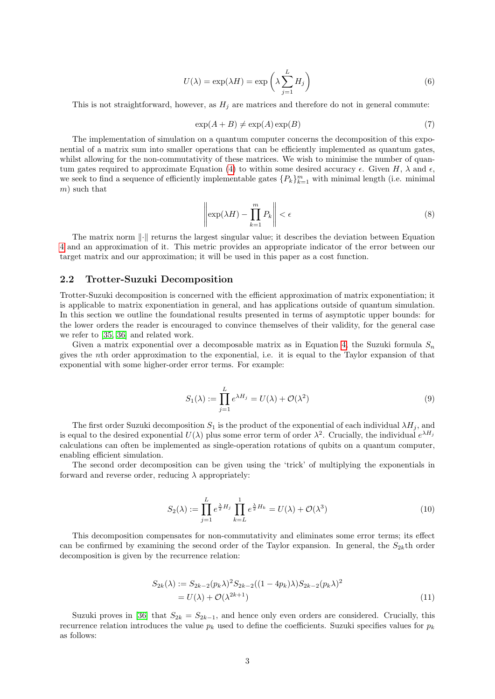<span id="page-3-0"></span>
$$
U(\lambda) = \exp(\lambda H) = \exp\left(\lambda \sum_{j=1}^{L} H_j\right)
$$
\n(6)

This is not straightforward, however, as  $H_i$  are matrices and therefore do not in general commute:

<span id="page-3-1"></span>
$$
\exp(A+B) \neq \exp(A)\exp(B)
$$
\n(7)

The implementation of simulation on a quantum computer concerns the decomposition of this exponential of a matrix sum into smaller operations that can be efficiently implemented as quantum gates, whilst allowing for the non-commutativity of these matrices. We wish to minimise the number of quan-tum gates required to approximate Equation [\(4\)](#page-1-1) to within some desired accuracy  $\epsilon$ . Given H,  $\lambda$  and  $\epsilon$ , we seek to find a sequence of efficiently implementable gates  $\{P_k\}_{k=1}^m$  with minimal length (i.e. minimal m) such that

$$
\left\|\exp(\lambda H) - \prod_{k=1}^{m} P_k\right\| < \epsilon \tag{8}
$$

The matrix norm  $\lVert \cdot \rVert$  returns the largest singular value; it describes the deviation between Equation [4](#page-1-1) and an approximation of it. This metric provides an appropriate indicator of the error between our target matrix and our approximation; it will be used in this paper as a cost function.

### 2.2 Trotter-Suzuki Decomposition

Trotter-Suzuki decomposition is concerned with the efficient approximation of matrix exponentiation; it is applicable to matrix exponentiation in general, and has applications outside of quantum simulation. In this section we outline the foundational results presented in terms of asymptotic upper bounds: for the lower orders the reader is encouraged to convince themselves of their validity, for the general case we refer to [\[35,](#page-16-9) [36\]](#page-16-10) and related work.

Given a matrix exponential over a decomposable matrix as in Equation [4,](#page-1-1) the Suzuki formula  $S_n$ gives the nth order approximation to the exponential, i.e. it is equal to the Taylor expansion of that exponential with some higher-order error terms. For example:

$$
S_1(\lambda) := \prod_{j=1}^L e^{\lambda H_j} = U(\lambda) + \mathcal{O}(\lambda^2)
$$
\n(9)

The first order Suzuki decomposition  $S_1$  is the product of the exponential of each individual  $\lambda H_i$ , and is equal to the desired exponential  $U(\lambda)$  plus some error term of order  $\lambda^2$ . Crucially, the individual  $e^{\lambda H_j}$ calculations can often be implemented as single-operation rotations of qubits on a quantum computer, enabling efficient simulation.

The second order decomposition can be given using the 'trick' of multiplying the exponentials in forward and reverse order, reducing  $\lambda$  appropriately:

$$
S_2(\lambda) := \prod_{j=1}^L e^{\frac{\lambda}{2}H_j} \prod_{k=L}^1 e^{\frac{\lambda}{2}H_k} = U(\lambda) + \mathcal{O}(\lambda^3)
$$
\n(10)

This decomposition compensates for non-commutativity and eliminates some error terms; its effect can be confirmed by examining the second order of the Taylor expansion. In general, the  $S_{2k}$ th order decomposition is given by the recurrence relation:

<span id="page-3-2"></span>
$$
S_{2k}(\lambda) := S_{2k-2}(p_k \lambda)^2 S_{2k-2}((1 - 4p_k)\lambda) S_{2k-2}(p_k \lambda)^2
$$
  
=  $U(\lambda) + \mathcal{O}(\lambda^{2k+1})$  (11)

Suzuki proves in [\[36\]](#page-16-10) that  $S_{2k} = S_{2k-1}$ , and hence only even orders are considered. Crucially, this recurrence relation introduces the value  $p_k$  used to define the coefficients. Suzuki specifies values for  $p_k$ as follows: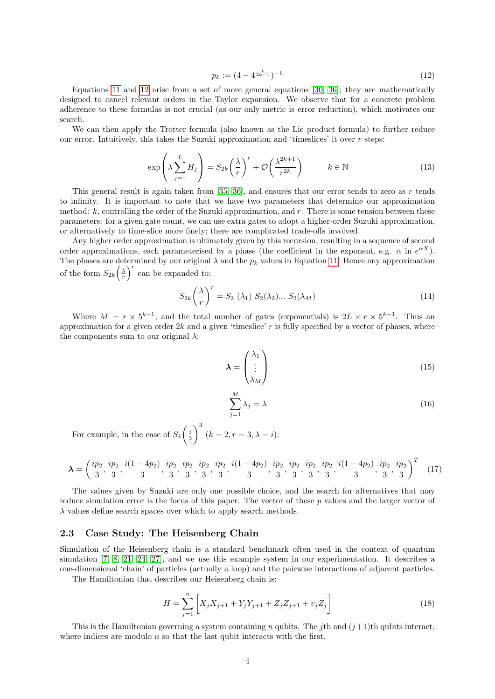$$
p_k := (4 - 4^{\frac{1}{2k-1}})^{-1}
$$
\n(12)

Equations [11](#page-2-0) and [12](#page-3-0) arise from a set of more general equations [\[30,](#page-16-11) [36\]](#page-16-10); they are mathematically designed to cancel relevant orders in the Taylor expansion. We observe that for a concrete problem adherence to these formulas is not crucial (as our only metric is error reduction), which motivates our search.

We can then apply the Trotter formula (also known as the Lie product formula) to further reduce our error. Intuitively, this takes the Suzuki approximation and 'timeslices' it over r steps:

$$
\exp\left(\lambda \sum_{j=1}^{L} H_j\right) = S_{2k} \left(\frac{\lambda}{r}\right)^r + \mathcal{O}\left(\frac{\lambda^{2k+1}}{r^{2k}}\right) \qquad k \in \mathbb{N}
$$
\n(13)

This general result is again taken from  $[35, 36]$  $[35, 36]$ , and ensures that our error tends to zero as r tends to infinity. It is important to note that we have two parameters that determine our approximation method:  $k$ , controlling the order of the Suzuki approximation, and  $r$ . There is some tension between these parameters: for a given gate count, we can use extra gates to adopt a higher-order Suzuki approximation, or alternatively to time-slice more finely; there are complicated trade-offs involved.

Any higher order approximation is ultimately given by this recursion, resulting in a sequence of second order approximations, each parameterised by a phase (the coefficient in the exponent, e.g.  $\alpha$  in  $e^{\alpha X}$ ). The phases are determined by our original  $\lambda$  and the  $p_k$  values in Equation [11.](#page-2-0) Hence any approximation of the form  $S_{2k}(\frac{\lambda}{r})^r$  can be expanded to:

$$
S_{2k}\left(\frac{\lambda}{r}\right)^r = S_2\left(\lambda_1\right) S_2(\lambda_2) \dots S_2(\lambda_M) \tag{14}
$$

Where  $M = r \times 5^{k-1}$ , and the total number of gates (exponentials) is  $2L \times r \times 5^{k-1}$ . Thus an approximation for a given order  $2k$  and a given 'timeslice' r is fully specified by a vector of phases, where the components sum to our original  $\lambda$ :

$$
\lambda = \begin{pmatrix} \lambda_1 \\ \vdots \\ \lambda_M \end{pmatrix} \tag{15}
$$

$$
\sum_{j=1}^{M} \lambda_j = \lambda \tag{16}
$$

For example, in the case of  $S_4\left(\frac{i}{3}\right)$  $\bigg\}^{3}$   $(k = 2, r = 3, \lambda = i)$ :

$$
\lambda = \left(\frac{ip_2}{3}, \frac{ip_2}{3}, \frac{i(1-4p_2)}{3}, \frac{ip_2}{3}, \frac{ip_2}{3}, \frac{ip_2}{3}, \frac{ip_2}{3}, \frac{i(1-4p_2)}{3}, \frac{ip_2}{3}, \frac{ip_2}{3}, \frac{ip_2}{3}, \frac{ip_2}{3}, \frac{i(1-4p_2)}{3}, \frac{ip_2}{3}, \frac{ip_2}{3}\right)^T
$$
(17)

The values given by Suzuki are only one possible choice, and the search for alternatives that may reduce simulation error is the focus of this paper. The vector of these  $p$  values and the larger vector of  $\lambda$  values define search spaces over which to apply search methods.

### 2.3 Case Study: The Heisenberg Chain

Simulation of the Heisenberg chain is a standard benchmark often used in the context of quantum simulation [\[7,](#page-15-1) [8,](#page-15-2) [21,](#page-16-2) [24,](#page-16-4) [27\]](#page-16-12), and we use this example system in our experimentation. It describes a one-dimensional 'chain' of particles (actually a loop) and the pairwise interactions of adjacent particles.

The Hamiltonian that describes our Heisenberg chain is:

$$
H = \sum_{j=1}^{n} \left[ X_j X_{j+1} + Y_j Y_{j+1} + Z_j Z_{j+1} + v_j Z_j \right]
$$
\n(18)

This is the Hamiltonian governing a system containing n qubits. The *i*th and  $(i+1)$ th qubits interact, where indices are modulo  $n$  so that the last qubit interacts with the first.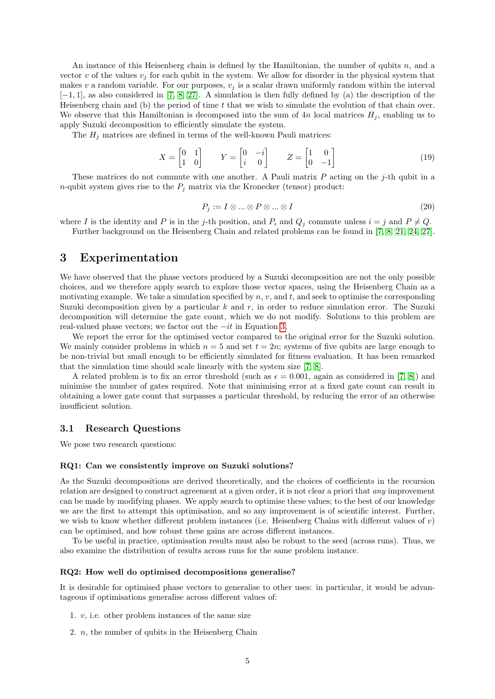An instance of this Heisenberg chain is defined by the Hamiltonian, the number of qubits n, and a vector v of the values  $v_j$  for each qubit in the system. We allow for disorder in the physical system that makes v a random variable. For our purposes,  $v_j$  is a scalar drawn uniformly random within the interval  $[-1, 1]$ , as also considered in [\[7,](#page-15-1) [8,](#page-15-2) [27\]](#page-16-12). A simulation is then fully defined by (a) the description of the Heisenberg chain and (b) the period of time  $t$  that we wish to simulate the evolution of that chain over. We observe that this Hamiltonian is decomposed into the sum of  $4n$  local matrices  $H_j$ , enabling us to apply Suzuki decomposition to efficiently simulate the system.

The  $H_i$  matrices are defined in terms of the well-known Pauli matrices:

$$
X = \begin{bmatrix} 0 & 1 \\ 1 & 0 \end{bmatrix} \qquad Y = \begin{bmatrix} 0 & -i \\ i & 0 \end{bmatrix} \qquad Z = \begin{bmatrix} 1 & 0 \\ 0 & -1 \end{bmatrix} \tag{19}
$$

These matrices do not commute with one another. A Pauli matrix  $P$  acting on the j-th qubit in a *n*-qubit system gives rise to the  $P_j$  matrix via the Kronecker (tensor) product:

$$
P_j := I \otimes \dots \otimes P \otimes \dots \otimes I \tag{20}
$$

where I is the identity and P is in the j-th position, and  $P_i$  and  $Q_j$  commute unless  $i = j$  and  $P \neq Q$ . Further background on the Heisenberg Chain and related problems can be found in [\[7,](#page-15-1) [8,](#page-15-2) [21,](#page-16-2) [24,](#page-16-4) [27\]](#page-16-12).

# 3 Experimentation

<span id="page-5-1"></span>We have observed that the phase vectors produced by a Suzuki decomposition are not the only possible choices, and we therefore apply search to explore those vector spaces, using the Heisenberg Chain as a motivating example. We take a simulation specified by  $n, v$ , and  $t$ , and seek to optimise the corresponding Suzuki decomposition given by a particular  $k$  and  $r$ , in order to reduce simulation error. The Suzuki decomposition will determine the gate count, which we do not modify. Solutions to this problem are real-valued phase vectors; we factor out the  $-it$  in Equation [3.](#page-1-2)

We report the error for the optimised vector compared to the original error for the Suzuki solution. We mainly consider problems in which  $n = 5$  and set  $t = 2n$ ; systems of five qubits are large enough to be non-trivial but small enough to be efficiently simulated for fitness evaluation. It has been remarked that the simulation time should scale linearly with the system size [\[7,](#page-15-1) [8\]](#page-15-2).

A related problem is to fix an error threshold (such as  $\epsilon = 0.001$ , again as considered in [\[7,](#page-15-1) [8\]](#page-15-2)) and minimise the number of gates required. Note that minimising error at a fixed gate count can result in obtaining a lower gate count that surpasses a particular threshold, by reducing the error of an otherwise insufficient solution.

### 3.1 Research Questions

We pose two research questions:

#### RQ1: Can we consistently improve on Suzuki solutions?

As the Suzuki decompositions are derived theoretically, and the choices of coefficients in the recursion relation are designed to construct agreement at a given order, it is not clear a priori that *any* improvement can be made by modifying phases. We apply search to optimise these values; to the best of our knowledge we are the first to attempt this optimisation, and so any improvement is of scientific interest. Further, we wish to know whether different problem instances (i.e. Heisenberg Chains with different values of v) can be optimised, and how robust these gains are across different instances.

To be useful in practice, optimisation results must also be robust to the seed (across runs). Thus, we also examine the distribution of results across runs for the same problem instance.

#### RQ2: How well do optimised decompositions generalise?

It is desirable for optimised phase vectors to generalise to other uses: in particular, it would be advantageous if optimisations generalise across different values of:

- 1.  $v$ , i.e. other problem instances of the same size
- <span id="page-5-0"></span>2. n, the number of qubits in the Heisenberg Chain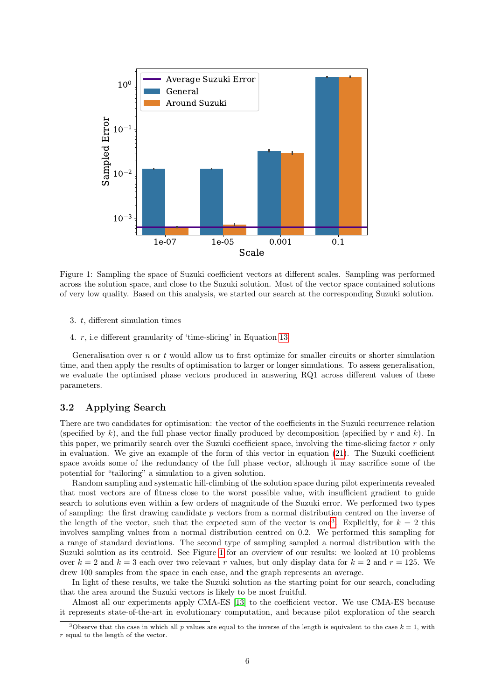

<span id="page-6-0"></span>Figure 1: Sampling the space of Suzuki coefficient vectors at different scales. Sampling was performed across the solution space, and close to the Suzuki solution. Most of the vector space contained solutions of very low quality. Based on this analysis, we started our search at the corresponding Suzuki solution.

- 3. t, different simulation times
- 4. r, i.e different granularity of 'time-slicing' in Equation [13](#page-3-1)

Generalisation over n or t would allow us to first optimize for smaller circuits or shorter simulation time, and then apply the results of optimisation to larger or longer simulations. To assess generalisation, we evaluate the optimised phase vectors produced in answering RQ1 across different values of these parameters.

### 3.2 Applying Search

There are two candidates for optimisation: the vector of the coefficients in the Suzuki recurrence relation (specified by k), and the full phase vector finally produced by decomposition (specified by r and k). In this paper, we primarily search over the Suzuki coefficient space, involving the time-slicing factor r only in evaluation. We give an example of the form of this vector in equation [\(21\)](#page-6-0). The Suzuki coefficient space avoids some of the redundancy of the full phase vector, although it may sacrifice some of the potential for "tailoring" a simulation to a given solution.

Random sampling and systematic hill-climbing of the solution space during pilot experiments revealed that most vectors are of fitness close to the worst possible value, with insufficient gradient to guide search to solutions even within a few orders of magnitude of the Suzuki error. We performed two types of sampling: the first drawing candidate p vectors from a normal distribution centred on the inverse of the length of the vector, such that the expected sum of the vector is one<sup>[3](#page-5-0)</sup>. Explicitly, for  $k = 2$  this involves sampling values from a normal distribution centred on 0.2. We performed this sampling for a range of standard deviations. The second type of sampling sampled a normal distribution with the Suzuki solution as its centroid. See Figure [1](#page-5-1) for an overview of our results: we looked at 10 problems over  $k = 2$  and  $k = 3$  each over two relevant r values, but only display data for  $k = 2$  and  $r = 125$ . We drew 100 samples from the space in each case, and the graph represents an average.

In light of these results, we take the Suzuki solution as the starting point for our search, concluding that the area around the Suzuki vectors is likely to be most fruitful.

<span id="page-6-1"></span>Almost all our experiments apply CMA-ES [\[13\]](#page-15-10) to the coefficient vector. We use CMA-ES because it represents state-of-the-art in evolutionary computation, and because pilot exploration of the search

<span id="page-6-2"></span><sup>&</sup>lt;sup>3</sup>Observe that the case in which all p values are equal to the inverse of the length is equivalent to the case  $k = 1$ , with r equal to the length of the vector.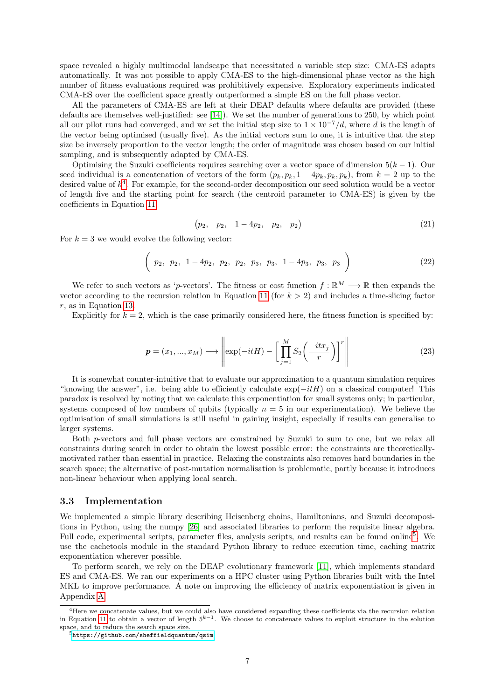space revealed a highly multimodal landscape that necessitated a variable step size: CMA-ES adapts automatically. It was not possible to apply CMA-ES to the high-dimensional phase vector as the high number of fitness evaluations required was prohibitively expensive. Exploratory experiments indicated CMA-ES over the coefficient space greatly outperformed a simple ES on the full phase vector.

All the parameters of CMA-ES are left at their DEAP defaults where defaults are provided (these defaults are themselves well-justified: see [\[14\]](#page-15-11)). We set the number of generations to 250, by which point all our pilot runs had converged, and we set the initial step size to  $1 \times 10^{-7}/d$ , where d is the length of the vector being optimised (usually five). As the initial vectors sum to one, it is intuitive that the step size be inversely proportion to the vector length; the order of magnitude was chosen based on our initial sampling, and is subsequently adapted by CMA-ES.

Optimising the Suzuki coefficients requires searching over a vector space of dimension  $5(k-1)$ . Our seed individual is a concatenation of vectors of the form  $(p_k, p_k, 1 - 4p_k, p_k, p_k)$ , from  $k = 2$  up to the desired value of  $k<sup>4</sup>$  $k<sup>4</sup>$  $k<sup>4</sup>$ . For example, for the second-order decomposition our seed solution would be a vector of length five and the starting point for search (the centroid parameter to CMA-ES) is given by the coefficients in Equation [11:](#page-2-0)

$$
(p_2, p_2, 1-4p_2, p_2, p_2) \t\t(21)
$$

For  $k = 3$  we would evolve the following vector:

$$
\left(\begin{array}{cccccc}\np_2, & p_2, & 1-4p_2, & p_2, & p_2, & p_3, & p_3, & 1-4p_3, & p_3, & p_3\n\end{array}\right)
$$
\n(22)

<span id="page-7-0"></span>We refer to such vectors as 'p-vectors'. The fitness or cost function  $f : \mathbb{R}^M \longrightarrow \mathbb{R}$  then expands the vector according to the recursion relation in Equation [11](#page-2-0) (for  $k > 2$ ) and includes a time-slicing factor r, as in Equation [13.](#page-3-1)

Explicitly for  $k = 2$ , which is the case primarily considered here, the fitness function is specified by:

$$
\boldsymbol{p} = (x_1, ..., x_M) \longrightarrow \left\| \exp(-itH) - \left[ \prod_{j=1}^M S_2 \left( \frac{-itx_j}{r} \right) \right]^r \right\| \tag{23}
$$

<span id="page-7-1"></span>It is somewhat counter-intuitive that to evaluate our approximation to a quantum simulation requires "knowing the answer", i.e. being able to efficiently calculate  $\exp(-itH)$  on a classical computer! This paradox is resolved by noting that we calculate this exponentiation for small systems only; in particular, systems composed of low numbers of qubits (typically  $n = 5$  in our experimentation). We believe the optimisation of small simulations is still useful in gaining insight, especially if results can generalise to larger systems.

Both p-vectors and full phase vectors are constrained by Suzuki to sum to one, but we relax all constraints during search in order to obtain the lowest possible error: the constraints are theoreticallymotivated rather than essential in practice. Relaxing the constraints also removes hard boundaries in the search space; the alternative of post-mutation normalisation is problematic, partly because it introduces non-linear behaviour when applying local search.

#### 3.3 Implementation

We implemented a simple library describing Heisenberg chains, Hamiltonians, and Suzuki decompositions in Python, using the numpy [\[26\]](#page-16-13) and associated libraries to perform the requisite linear algebra. Full code, experimental scripts, parameter files, analysis scripts, and results can be found online<sup>[5](#page-6-2)</sup>. We use the cachetools module in the standard Python library to reduce execution time, caching matrix exponentiation wherever possible.

To perform search, we rely on the DEAP evolutionary framework [\[11\]](#page-15-12), which implements standard ES and CMA-ES. We ran our experiments on a HPC cluster using Python libraries built with the Intel MKL to improve performance. A note on improving the efficiency of matrix exponentiation is given in Appendix [A.](#page-13-0)

<sup>&</sup>lt;sup>4</sup>Here we concatenate values, but we could also have considered expanding these coefficients via the recursion relation in Equation [11](#page-2-0) to obtain a vector of length  $5^{k-1}$ . We choose to concatenate values to exploit structure in the solution space, and to reduce the search space size.

<sup>5</sup><https://github.com/sheffieldquantum/qsim>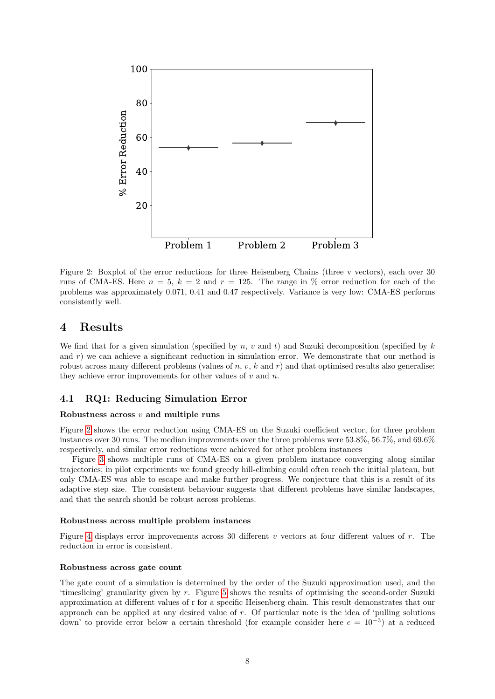

<span id="page-8-0"></span>Figure 2: Boxplot of the error reductions for three Heisenberg Chains (three v vectors), each over 30 runs of CMA-ES. Here  $n = 5$ ,  $k = 2$  and  $r = 125$ . The range in % error reduction for each of the problems was approximately 0.071, 0.41 and 0.47 respectively. Variance is very low: CMA-ES performs consistently well.

# 4 Results

We find that for a given simulation (specified by  $n, v$  and t) and Suzuki decomposition (specified by  $k$ and  $r$ ) we can achieve a significant reduction in simulation error. We demonstrate that our method is robust across many different problems (values of  $n, v, k$  and  $r$ ) and that optimised results also generalise: they achieve error improvements for other values of  $v$  and  $n$ .

### 4.1 RQ1: Reducing Simulation Error

#### Robustness across  $v$  and multiple runs

Figure [2](#page-7-0) shows the error reduction using CMA-ES on the Suzuki coefficient vector, for three problem instances over 30 runs. The median improvements over the three problems were 53.8%, 56.7%, and 69.6% respectively, and similar error reductions were achieved for other problem instances

Figure [3](#page-8-0) shows multiple runs of CMA-ES on a given problem instance converging along similar trajectories; in pilot experiments we found greedy hill-climbing could often reach the initial plateau, but only CMA-ES was able to escape and make further progress. We conjecture that this is a result of its adaptive step size. The consistent behaviour suggests that different problems have similar landscapes, and that the search should be robust across problems.

#### Robustness across multiple problem instances

Figure [4](#page-9-0) displays error improvements across 30 different v vectors at four different values of r. The reduction in error is consistent.

#### Robustness across gate count

The gate count of a simulation is determined by the order of the Suzuki approximation used, and the 'timeslicing' granularity given by r. Figure [5](#page-9-1) shows the results of optimising the second-order Suzuki approximation at different values of r for a specific Heisenberg chain. This result demonstrates that our approach can be applied at any desired value of  $r$ . Of particular note is the idea of 'pulling solutions down' to provide error below a certain threshold (for example consider here  $\epsilon = 10^{-3}$ ) at a reduced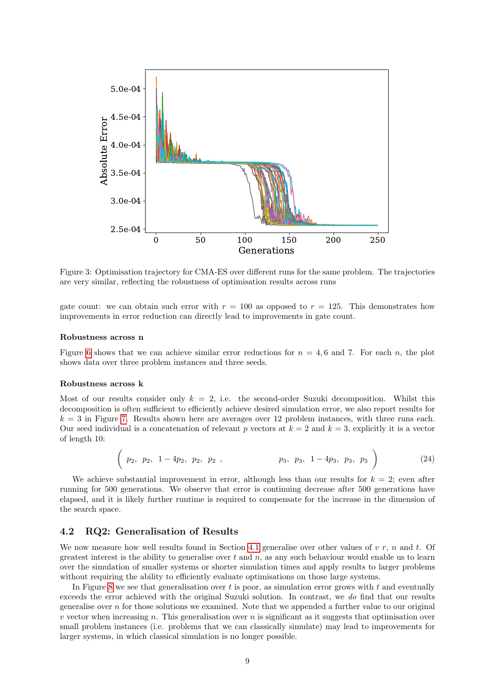

Figure 3: Optimisation trajectory for CMA-ES over different runs for the same problem. The trajectories are very similar, reflecting the robustness of optimisation results across runs

<span id="page-9-0"></span>gate count: we can obtain such error with  $r = 100$  as opposed to  $r = 125$ . This demonstrates how improvements in error reduction can directly lead to improvements in gate count.

#### Robustness across n

Figure [6](#page-10-0) shows that we can achieve similar error reductions for  $n = 4, 6$  and 7. For each n, the plot shows data over three problem instances and three seeds.

#### Robustness across k

Most of our results consider only  $k = 2$ , i.e. the second-order Suzuki decomposition. Whilst this decomposition is often sufficient to efficiently achieve desired simulation error, we also report results for  $k = 3$  in Figure [7.](#page-10-1) Results shown here are averages over 12 problem instances, with three runs each. Our seed individual is a concatenation of relevant p vectors at  $k = 2$  and  $k = 3$ , explicitly it is a vector of length 10:

$$
\left(\begin{array}{cccccc}\np_2, & p_2, & 1-4p_2, & p_2, & p_2,\n\end{array}\n\right), \quad\n p_3, p_3, 1-4p_3, p_3, p_3\n\tag{24}
$$

We achieve substantial improvement in error, although less than our results for  $k = 2$ ; even after running for 500 generations. We observe that error is continuing decrease after 500 generations have elapsed, and it is likely further runtime is required to compensate for the increase in the dimension of the search space.

### 4.2 RQ2: Generalisation of Results

We now measure how well results found in Section [4.1](#page-7-1) generalise over other values of  $v \, r$ , n and t. Of greatest interest is the ability to generalise over  $t$  and  $n$ , as any such behaviour would enable us to learn over the simulation of smaller systems or shorter simulation times and apply results to larger problems without requiring the ability to efficiently evaluate optimisations on those large systems.

<span id="page-9-1"></span>In Figure [8](#page-11-0) we see that generalisation over t is poor, as simulation error grows with t and eventually exceeds the error achieved with the original Suzuki solution. In contrast, we *do* find that our results generalise over  $n$  for those solutions we examined. Note that we appended a further value to our original  $v$  vector when increasing n. This generalisation over n is significant as it suggests that optimisation over small problem instances (i.e. problems that we can classically simulate) may lead to improvements for larger systems, in which classical simulation is no longer possible.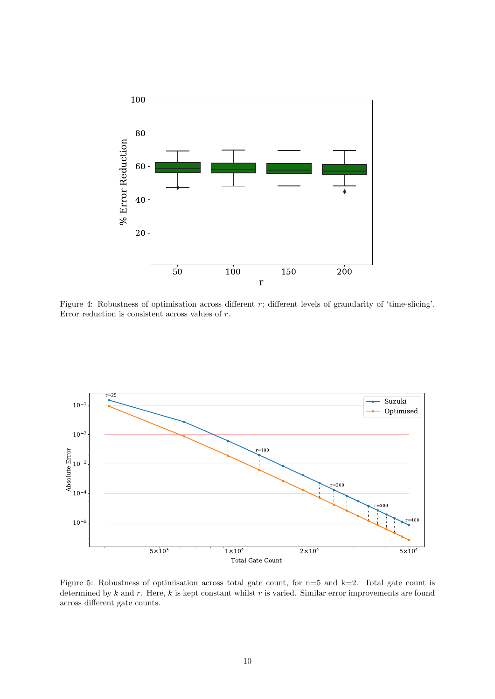

<span id="page-10-0"></span>Figure 4: Robustness of optimisation across different  $r$ ; different levels of granularity of 'time-slicing'. Error reduction is consistent across values of r.



<span id="page-10-1"></span>Figure 5: Robustness of optimisation across total gate count, for n=5 and k=2. Total gate count is determined by  $k$  and  $r$ . Here,  $k$  is kept constant whilst  $r$  is varied. Similar error improvements are found across different gate counts.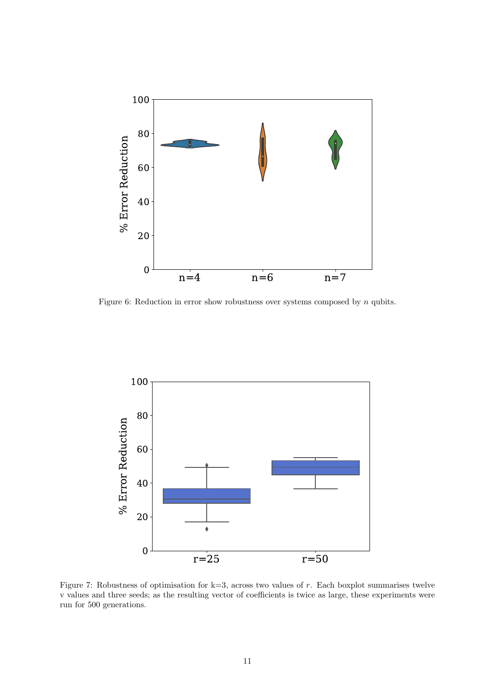

<span id="page-11-0"></span>Figure 6: Reduction in error show robustness over systems composed by  $n$  qubits.



Figure 7: Robustness of optimisation for  $k=3$ , across two values of r. Each boxplot summarises twelve v values and three seeds; as the resulting vector of coefficients is twice as large, these experiments were run for 500 generations.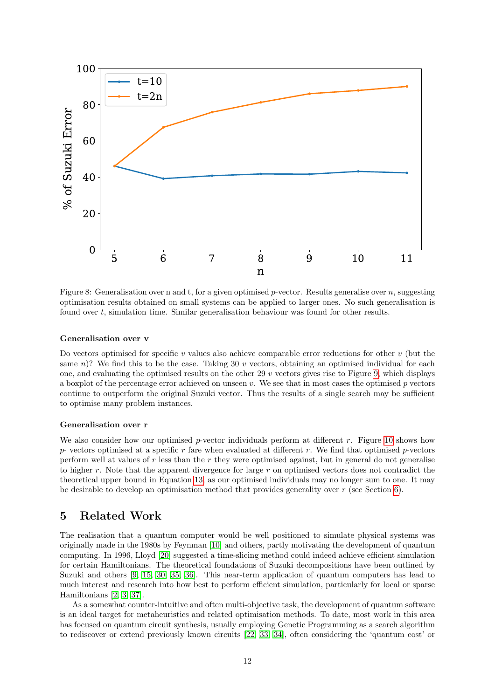

<span id="page-12-0"></span>Figure 8: Generalisation over n and t, for a given optimised p-vector. Results generalise over n, suggesting optimisation results obtained on small systems can be applied to larger ones. No such generalisation is found over t, simulation time. Similar generalisation behaviour was found for other results.

#### Generalisation over v

Do vectors optimised for specific v values also achieve comparable error reductions for other  $v$  (but the same n)? We find this to be the case. Taking 30 v vectors, obtaining an optimised individual for each one, and evaluating the optimised results on the other 29  $v$  vectors gives rise to Figure [9,](#page-12-0) which displays a boxplot of the percentage error achieved on unseen  $v$ . We see that in most cases the optimised  $p$  vectors continue to outperform the original Suzuki vector. Thus the results of a single search may be sufficient to optimise many problem instances.

### Generalisation over r

We also consider how our optimised p-vector individuals perform at different  $r$ . Figure [10](#page-12-1) shows how  $p$ - vectors optimised at a specific r fare when evaluated at different r. We find that optimised p-vectors perform well at values of  $r$  less than the  $r$  they were optimised against, but in general do not generalise to higher r. Note that the apparent divergence for large r on optimised vectors does not contradict the theoretical upper bound in Equation [13,](#page-3-1) as our optimised individuals may no longer sum to one. It may be desirable to develop an optimisation method that provides generality over  $r$  (see Section [6\)](#page-13-1).

# 5 Related Work

The realisation that a quantum computer would be well positioned to simulate physical systems was originally made in the 1980s by Feynman [\[10\]](#page-15-13) and others, partly motivating the development of quantum computing. In 1996, Lloyd [\[20\]](#page-16-14) suggested a time-slicing method could indeed achieve efficient simulation for certain Hamiltonians. The theoretical foundations of Suzuki decompositions have been outlined by Suzuki and others [\[9,](#page-15-8) [15,](#page-15-9) [30,](#page-16-11) [35,](#page-16-9) [36\]](#page-16-10). This near-term application of quantum computers has lead to much interest and research into how best to perform efficient simulation, particularly for local or sparse Hamiltonians [\[2,](#page-15-0) [3,](#page-15-14) [37\]](#page-16-0).

<span id="page-12-1"></span>As a somewhat counter-intuitive and often multi-objective task, the development of quantum software is an ideal target for metaheuristics and related optimisation methods. To date, most work in this area has focused on quantum circuit synthesis, usually employing Genetic Programming as a search algorithm to rediscover or extend previously known circuits [\[22,](#page-16-15) [33,](#page-16-16) [34\]](#page-16-17), often considering the 'quantum cost' or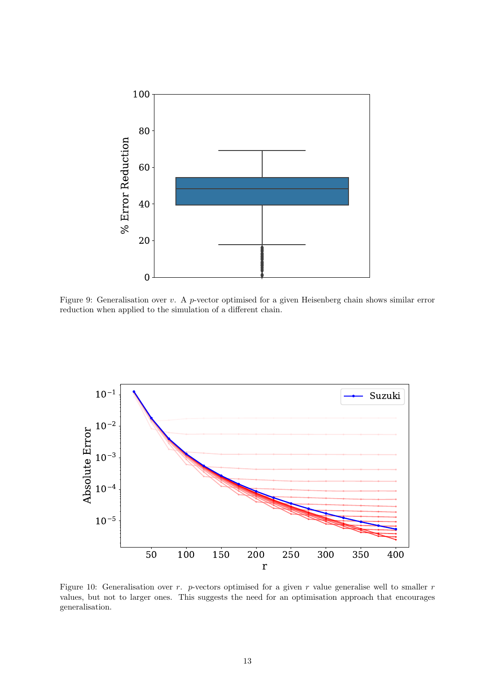<span id="page-13-1"></span>

Figure 9: Generalisation over v. A p-vector optimised for a given Heisenberg chain shows similar error reduction when applied to the simulation of a different chain.

<span id="page-13-0"></span>

Figure 10: Generalisation over  $r$ . p-vectors optimised for a given  $r$  value generalise well to smaller  $r$ values, but not to larger ones. This suggests the need for an optimisation approach that encourages generalisation.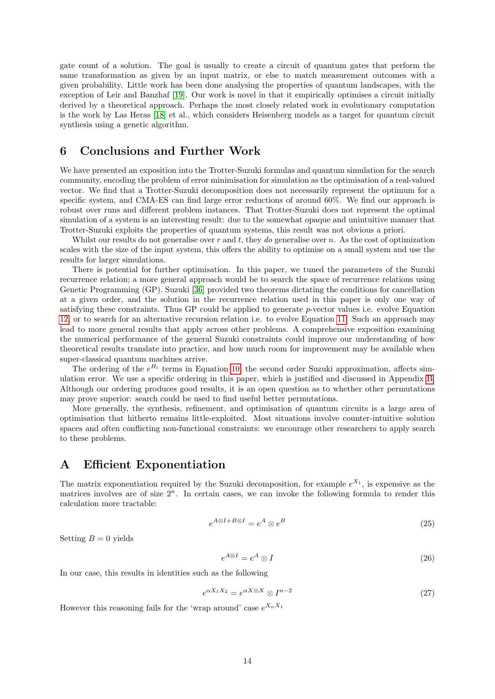gate count of a solution. The goal is usually to create a circuit of quantum gates that perform the same transformation as given by an input matrix, or else to match measurement outcomes with a given probability. Little work has been done analysing the properties of quantum landscapes, with the exception of Leir and Banzhaf [\[19\]](#page-15-15). Our work is novel in that it empirically optimises a circuit initially derived by a theoretical approach. Perhaps the most closely related work in evolutionary computation is the work by Las Heras [\[18\]](#page-15-16) et al., which considers Heisenberg models as a target for quantum circuit synthesis using a genetic algorithm.

# 6 Conclusions and Further Work

We have presented an exposition into the Trotter-Suzuki formulas and quantum simulation for the search community, encoding the problem of error minimisation for simulation as the optimisation of a real-valued vector. We find that a Trotter-Suzuki decomposition does not necessarily represent the optimum for a specific system, and CMA-ES can find large error reductions of around 60%. We find our approach is robust over runs and different problem instances. That Trotter-Suzuki does not represent the optimal simulation of a system is an interesting result: due to the somewhat opaque and unintuitive manner that Trotter-Suzuki exploits the properties of quantum systems, this result was not obvious a priori.

<span id="page-14-1"></span>Whilst our results do not generalise over r and t, they do generalise over n. As the cost of optimization scales with the size of the input system, this offers the ability to optimise on a small system and use the results for larger simulations.

<span id="page-14-0"></span>There is potential for further optimisation. In this paper, we tuned the parameters of the Suzuki recurrence relation; a more general approach would be to search the space of recurrence relations using Genetic Programming (GP). Suzuki [\[36\]](#page-16-10) provided two theorems dictating the conditions for cancellation at a given order, and the solution in the recurrence relation used in this paper is only one way of satisfying these constraints. Thus GP could be applied to generate  $p$ -vector values i.e. evolve Equation [12,](#page-3-0) or to search for an alternative recursion relation i.e. to evolve Equation [11.](#page-2-0) Such an approach may lead to more general results that apply across other problems. A comprehensive exposition examining the numerical performance of the general Suzuki constraints could improve our understanding of how theoretical results translate into practice, and how much room for improvement may be available when super-classical quantum machines arrive.

The ordering of the  $e^{H_l}$  terms in Equation [10,](#page-2-1) the second order Suzuki approximation, affects simulation error. We use a specific ordering in this paper, which is justified and discussed in Appendix [B.](#page-14-0) Although our ordering produces good results, it is an open question as to whether other permutations may prove superior: search could be used to find useful better permutations.

More generally, the synthesis, refinement, and optimisation of quantum circuits is a large area of optimisation that hitherto remains little-exploited. Most situations involve counter-intuitive solution spaces and often conflicting non-functional constraints: we encourage other researchers to apply search to these problems.

# A Efficient Exponentiation

The matrix exponentiation required by the Suzuki decomposition, for example  $e^{X_1}$ , is expensive as the matrices involves are of size  $2^n$ . In certain cases, we can invoke the following formula to render this calculation more tractable:

$$
e^{A \otimes I + B \otimes I} = e^A \otimes e^B \tag{25}
$$

Setting  $B = 0$  yields

$$
e^{A \otimes I} = e^A \otimes I \tag{26}
$$

In our case, this results in identities such as the following

$$
e^{\alpha X_1 X_2} = e^{\alpha X \otimes X} \otimes I^{n-2}
$$
\n(27)

However this reasoning fails for the 'wrap around' case  $e^{X_n X_1}$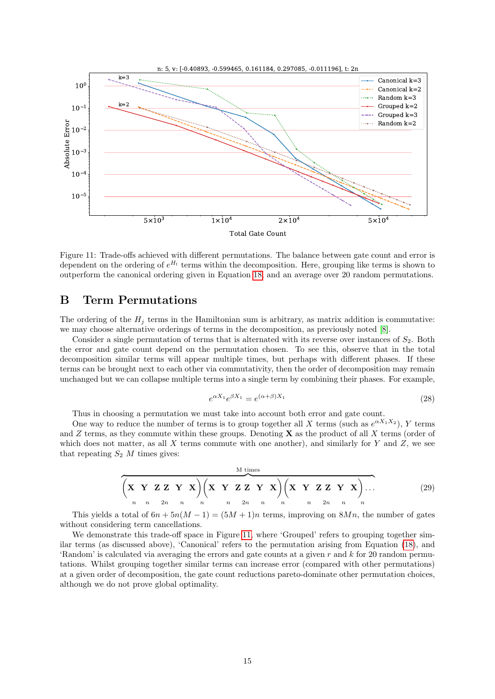<span id="page-15-14"></span><span id="page-15-6"></span><span id="page-15-0"></span>

<span id="page-15-4"></span><span id="page-15-1"></span>Figure 11: Trade-offs achieved with different permutations. The balance between gate count and error is dependent on the ordering of  $e^{H_l}$  terms within the decomposition. Here, grouping like terms is shown to outperform the canonical ordering given in Equation [18,](#page-3-2) and an average over 20 random permutations.

# <span id="page-15-2"></span>B Term Permutations

The ordering of the  $H_j$  terms in the Hamiltonian sum is arbitrary, as matrix addition is commutative: we may choose alternative orderings of terms in the decomposition, as previously noted [\[8\]](#page-15-2).

<span id="page-15-13"></span><span id="page-15-8"></span>Consider a single permutation of terms that is alternated with its reverse over instances of  $S_2$ . Both the error and gate count depend on the permutation chosen. To see this, observe that in the total decomposition similar terms will appear multiple times, but perhaps with different phases. If these terms can be brought next to each other via commutativity, then the order of decomposition may remain unchanged but we can collapse multiple terms into a single term by combining their phases. For example,

$$
e^{\alpha X_1}e^{\beta X_1} = e^{(\alpha+\beta)X_1} \tag{28}
$$

<span id="page-15-12"></span>Thus in choosing a permutation we must take into account both error and gate count.

<span id="page-15-10"></span><span id="page-15-5"></span>One way to reduce the number of terms is to group together all X terms (such as  $e^{\alpha X_1 X_2}$ ), Y terms and  $Z$  terms, as they commute within these groups. Denoting  $X$  as the product of all  $X$  terms (order of which does not matter, as all  $X$  terms commute with one another), and similarly for  $Y$  and  $Z$ , we see that repeating  $S_2$  M times gives:

$$
\overbrace{\left(\mathbf{X} \ \mathbf{Y} \ \mathbf{Z} \mathbf{Z} \ \mathbf{Y} \ \mathbf{X}\right)}^{M \text{ times}} \left(\mathbf{X} \ \mathbf{Y} \ \mathbf{Z} \mathbf{Z} \ \mathbf{Y} \ \mathbf{X}\right) \left(\mathbf{X} \ \mathbf{Y} \ \mathbf{Z} \mathbf{Z} \ \mathbf{Y} \ \mathbf{X}\right) \dots \tag{29}
$$

<span id="page-15-11"></span><span id="page-15-9"></span>This yields a total of  $6n + 5n(M - 1) = (5M + 1)n$  terms, improving on  $8Mn$ , the number of gates without considering term cancellations.

<span id="page-15-16"></span><span id="page-15-15"></span><span id="page-15-7"></span><span id="page-15-3"></span>We demonstrate this trade-off space in Figure [11,](#page-14-1) where 'Grouped' refers to grouping together similar terms (as discussed above), 'Canonical' refers to the permutation arising from Equation [\(18\)](#page-3-2), and 'Random' is calculated via averaging the errors and gate counts at a given  $r$  and  $k$  for 20 random permutations. Whilst grouping together similar terms can increase error (compared with other permutations) at a given order of decomposition, the gate count reductions pareto-dominate other permutation choices, although we do not prove global optimality.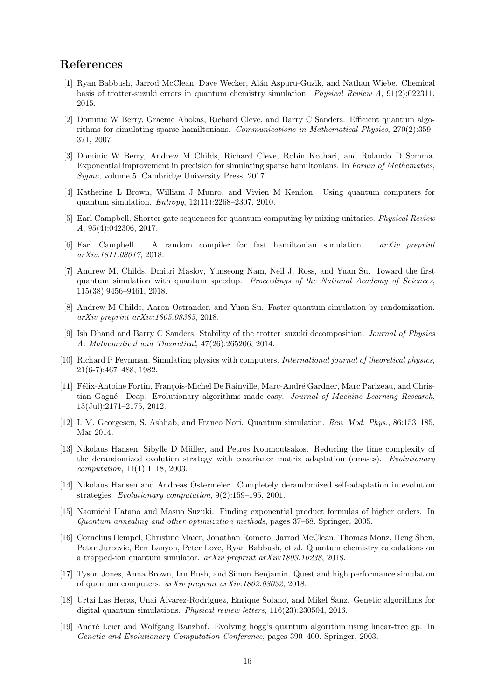# <span id="page-16-14"></span>References

- <span id="page-16-2"></span>[1] Ryan Babbush, Jarrod McClean, Dave Wecker, Al´an Aspuru-Guzik, and Nathan Wiebe. Chemical basis of trotter-suzuki errors in quantum chemistry simulation. *Physical Review A*, 91(2):022311, 2015.
- <span id="page-16-15"></span>[2] Dominic W Berry, Graeme Ahokas, Richard Cleve, and Barry C Sanders. Efficient quantum algorithms for simulating sparse hamiltonians. *Communications in Mathematical Physics*, 270(2):359– 371, 2007.
- <span id="page-16-4"></span><span id="page-16-3"></span>[3] Dominic W Berry, Andrew M Childs, Richard Cleve, Robin Kothari, and Rolando D Somma. Exponential improvement in precision for simulating sparse hamiltonians. In *Forum of Mathematics, Sigma*, volume 5. Cambridge University Press, 2017.
- <span id="page-16-7"></span>[4] Katherine L Brown, William J Munro, and Vivien M Kendon. Using quantum computers for quantum simulation. *Entropy*, 12(11):2268–2307, 2010.
- <span id="page-16-13"></span><span id="page-16-12"></span>[5] Earl Campbell. Shorter gate sequences for quantum computing by mixing unitaries. *Physical Review A*, 95(4):042306, 2017.
- <span id="page-16-5"></span>[6] Earl Campbell. A random compiler for fast hamiltonian simulation. *arXiv preprint arXiv:1811.08017*, 2018.
- <span id="page-16-8"></span>[7] Andrew M. Childs, Dmitri Maslov, Yunseong Nam, Neil J. Ross, and Yuan Su. Toward the first quantum simulation with quantum speedup. *Proceedings of the National Academy of Sciences*, 115(38):9456–9461, 2018.
- <span id="page-16-11"></span>[8] Andrew M Childs, Aaron Ostrander, and Yuan Su. Faster quantum simulation by randomization. *arXiv preprint arXiv:1805.08385*, 2018.
- <span id="page-16-6"></span>[9] Ish Dhand and Barry C Sanders. Stability of the trotter–suzuki decomposition. *Journal of Physics A: Mathematical and Theoretical*, 47(26):265206, 2014.
- <span id="page-16-1"></span>[10] Richard P Feynman. Simulating physics with computers. *International journal of theoretical physics*, 21(6-7):467–488, 1982.
- <span id="page-16-17"></span><span id="page-16-16"></span>[11] Félix-Antoine Fortin, François-Michel De Rainville, Marc-André Gardner, Marc Parizeau, and Christian Gagn´e. Deap: Evolutionary algorithms made easy. *Journal of Machine Learning Research*, 13(Jul):2171–2175, 2012.
- <span id="page-16-9"></span>[12] I. M. Georgescu, S. Ashhab, and Franco Nori. Quantum simulation. *Rev. Mod. Phys.*, 86:153–185, Mar 2014.
- <span id="page-16-10"></span>[13] Nikolaus Hansen, Sibylle D Müller, and Petros Koumoutsakos. Reducing the time complexity of the derandomized evolution strategy with covariance matrix adaptation (cma-es). *Evolutionary computation*, 11(1):1–18, 2003.
- <span id="page-16-0"></span>[14] Nikolaus Hansen and Andreas Ostermeier. Completely derandomized self-adaptation in evolution strategies. *Evolutionary computation*, 9(2):159–195, 2001.
- [15] Naomichi Hatano and Masuo Suzuki. Finding exponential product formulas of higher orders. In *Quantum annealing and other optimization methods*, pages 37–68. Springer, 2005.
- [16] Cornelius Hempel, Christine Maier, Jonathan Romero, Jarrod McClean, Thomas Monz, Heng Shen, Petar Jurcevic, Ben Lanyon, Peter Love, Ryan Babbush, et al. Quantum chemistry calculations on a trapped-ion quantum simulator. *arXiv preprint arXiv:1803.10238*, 2018.
- [17] Tyson Jones, Anna Brown, Ian Bush, and Simon Benjamin. Quest and high performance simulation of quantum computers. *arXiv preprint arXiv:1802.08032*, 2018.
- [18] Urtzi Las Heras, Unai Alvarez-Rodriguez, Enrique Solano, and Mikel Sanz. Genetic algorithms for digital quantum simulations. *Physical review letters*, 116(23):230504, 2016.
- [19] Andr´e Leier and Wolfgang Banzhaf. Evolving hogg's quantum algorithm using linear-tree gp. In *Genetic and Evolutionary Computation Conference*, pages 390–400. Springer, 2003.